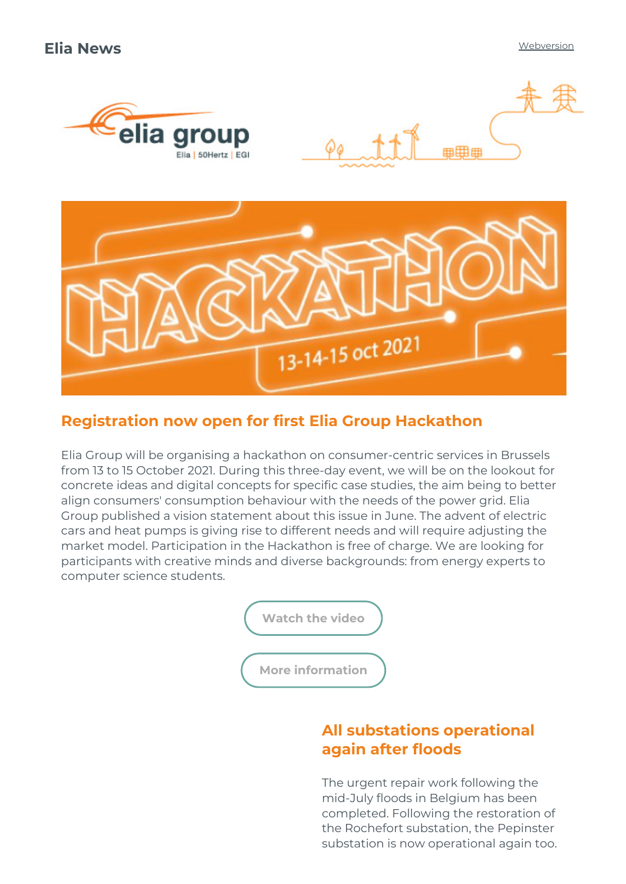



# Registration now open for first Elia Group Hackathon

Elia Group will be organising a hackathon on consumer-centric services in Brussels from 13 to 15 October 2021. During this three-day event, we will be on the lookout for concrete ideas and digital concepts for specific case studies, the aim being to better align consumers' consumption behaviour with the needs of the power grid. Elia Group published a vision statement about this issue in June. The advent of electric cars and heat pumps is giving rise to different needs and will require adjusting the market model. Participation in the Hackathon is free of charge. We are looking for participants with creative minds and diverse backgrounds: from energy experts to computer science students.

[Watch](http://link.newsletters.elia.be/m/surl/7309/501982/jVrLCmqNMZcOY3wVCrgQGA==/link_2/mGSTOWVckKOk7sEItYNAjuzPssdkcnq9KB7r1wSpg8sY5Kkrerkfd4j4An2Yfy5kDDFvDg48TH+6zKUn0lz8Cg==) the video

More [information](http://link.newsletters.elia.be/m/surl/7309/501982/jVrLCmqNMZcOY3wVCrgQGA==/link_3/wFHpRPobc7J4aDDp6u3DuxKQS8c8tG625Yad2iyA3M88F4oQjKfvEGHSgq58qOQgwXelG9YZgKHCqiAjwxsRaQ==)

## All substations operational again after floods

The urgent repair work following the mid-July floods in Belgium has been completed. Following the restoration of the Rochefort substation, the Pepinster substation is now operational again too.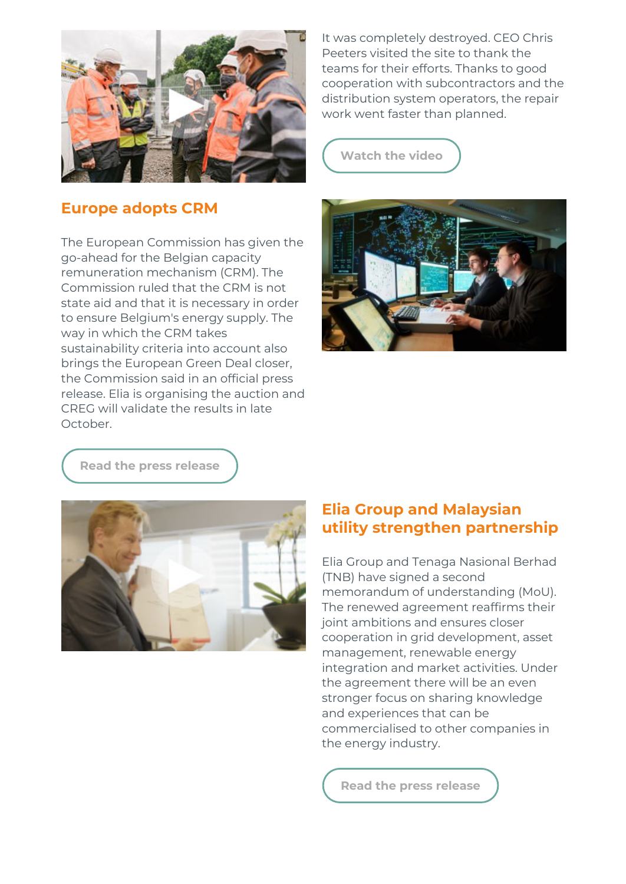

#### Europe adopts CRM

The European Commission has given the go-ahead for the Belgian capacity remuneration mechanism (CRM). The Commission ruled that the CRM is not state aid and that it is necessary in order to ensure Belgium's energy supply. The way in which the CRM takes sustainability criteria into account also brings the European Green Deal closer, the Commission said in an official press release. Elia is organising the auction and CREG will validate the results in late October.

It was completely destroyed. CEO Chris Peeters visited the site to thank the teams for their efforts. Thanks to good cooperation with subcontractors and the distribution system operators, the repair work went faster than planned.

[Watch](http://link.newsletters.elia.be/m/surl/7309/501982/jVrLCmqNMZcOY3wVCrgQGA==/link_5/r+1UwpfSHAbCUBacab-bt65S1+I461hMH-ThD-RBrPipbSAuhreiSRZXE9kGAtyrNrUR9O4Qay2CBfUayXxeRA==) the video



Read the press [release](http://link.newsletters.elia.be/m/surl/7309/501982/jVrLCmqNMZcOY3wVCrgQGA==/link_6/yOQ-7XEPTGHV+L-q5dqTLcPOJX8Np74M-NTUibsipr+hE44blrfGxIn++lV7VjXTWkiKyJeP5RHNQsFFZKQuTk+Glykb9-1L+2UH8sFIQ5qgIfeCe5YgjdnQ2vZrJoGL)



## Elia Group and Malaysian utility strengthen partnership

Elia Group and Tenaga Nasional Berhad (TNB) have signed a second memorandum of understanding (MoU). The renewed agreement reaffirms their joint ambitions and ensures closer cooperation in grid development, asset management, renewable energy integration and market activities. Under the agreement there will be an even stronger focus on sharing knowledge and experiences that can be commercialised to other companies in the energy industry.

Read the press [release](http://link.newsletters.elia.be/m/surl/7309/501982/jVrLCmqNMZcOY3wVCrgQGA==/link_8/vK21rrFqWlYXzZXv8ouFmhisKtyxQrNajI2zcYwgxFaWt-k+1Q0OPDE2bTwHAHKpC61a9GUnIuxsODxGCQLI91jzsYCcUOSKmS4c1MWKmn8ZT+CIbZWO7TsYVIAleklQWA9kDvvQhpBp1waR+jLKBAz-b9yxnH6wH9zmFcEzhUW4q-LncSMr2FudCgL5wnCXJcP0SA7Ddy9NnDGTbIjcSg==)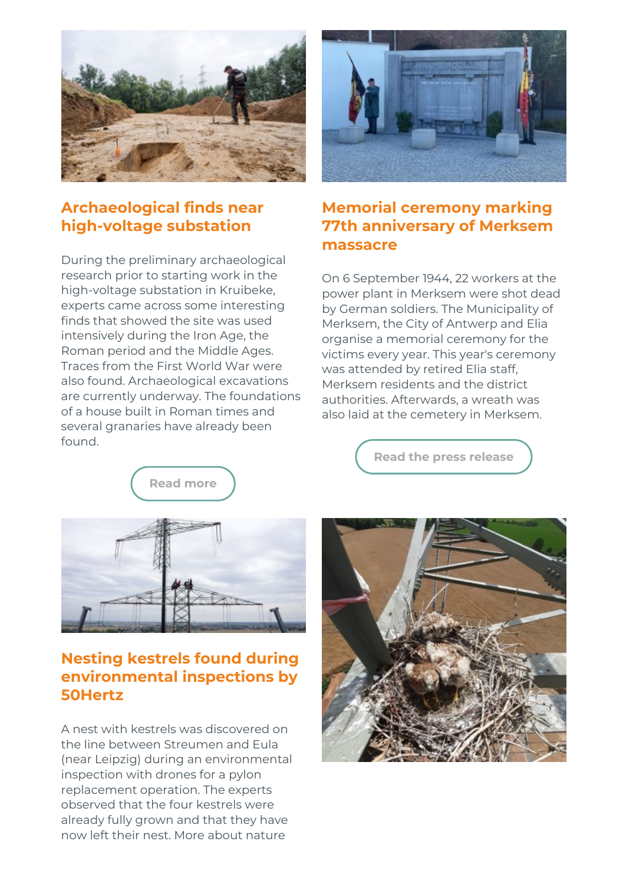

## Archaeological finds near high-voltage substation

During the preliminary archaeological research prior to starting work in the high-voltage substation in Kruibeke, experts came across some interesting finds that showed the site was used intensively during the Iron Age, the Roman period and the Middle Ages. Traces from the First World War were also found. Archaeological excavations are currently underway. The foundations of a house built in Roman times and several granaries have already been found.



## Memorial ceremony marking 77th anniversary of Merksem massacre

On 6 September 1944, 22 workers at the power plant in Merksem were shot dead by German soldiers. The Municipality of Merksem, the City of Antwerp and Elia organise a memorial ceremony for the victims every year. This year's ceremony was attended by retired Elia staff, Merksem residents and the district authorities. Afterwards, a wreath was also laid at the cemetery in Merksem.

Read [more](http://link.newsletters.elia.be/m/surl/7309/501982/jVrLCmqNMZcOY3wVCrgQGA==/link_9/96RfWgX4oQJM4THCHNCsFxDcpvsFNnK+CyKhBlFBL-GwE9GrYZs5b7hJ9w3aeewc+fE5DgDacBh51iarrS13GCJZkTVGhA3-xhntOsVxbxIF+rRzDfVaxumpfOW+6tZWx1AsRHlDpwFe1uwNuhV5FmPJsgOq+CyqPrYs-2nMYwBGsdzmnSQ47XuIsww2lU3tmotQx3IwRrp7epZikbZxEwiVwEI0CfDqbSjhMH5f5NEltC8xj2EKxn6yGQwZKCJmL2oxMioXVO+U2IMvbsgt+eyuJywBl-zEODAShhQr23DYPpBjuz2QuaAGvKfsf0F+1c+aV2mzrJZkk-j4MT9jONUnymE8+rVmSSCxVH0z2hyE3A63Cp3HUpYbd2egQzbcsAQaFAluXe9BFiLqdiZgegs5O6k+IyN9n0C1roPs+AVL6INzl5pFM9EFBYwVbSqjz9Q-5WCDJ+FAxsN2C8ZzG9yyDiuKZH0AfmJPGN+0tXo=)



## Nesting kestrels found during environmental inspections by 50Hertz

A nest with kestrels was discovered on the line between Streumen and Eula (near Leipzig) during an environmental inspection with drones for a pylon replacement operation. The experts observed that the four kestrels were already fully grown and that they have now left their nest. More about nature

Read the press [release](http://link.newsletters.elia.be/m/surl/7309/501982/jVrLCmqNMZcOY3wVCrgQGA==/link_10/LK0dbPeEavLjHtccQBSfDvA4QMvdVApbss1RGFrKD1w3hVcC7nYJc14cqBVzBerA4su5XyPAMQs8ZQLUrUjwQg==)

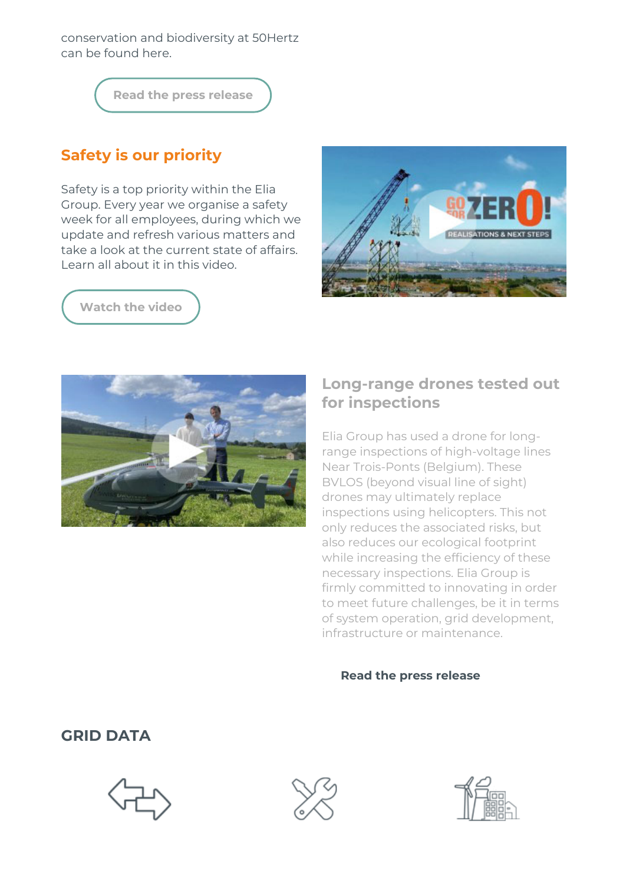conservation and biodiversity at 50Hertz can be found here.

Read the press [release](http://link.newsletters.elia.be/m/surl/7309/501982/jVrLCmqNMZcOY3wVCrgQGA==/link_11/W-+kjig0KdghBNYmH5cwW3yxWbUi+TPOY8ykjee2ejVB+IoBLZSRbhK4pC1pvtiI10DuAHsg0YYYOqDMRu3mANyDFxtDzDQFeW3XBq4uRrc5sTyoqDB+vtHTGzsR4AKsQ9t0qwX1oDlWSJJN8Cb2L91P-vfr1IQrplbOny1XrUQ=)

# Safety is our priority

Safety is a top priority within the Elia Group. Every year we organise a safety week for all employees, during which we update and refresh various matters and take a look at the current state of affairs. Learn all about it in this video.







#### Long-range drones tested out for inspections

Elia Group has used a drone for longrange inspections of high-voltage lines Near Trois-Ponts (Belgium). These BVLOS (beyond visual line of sight) drones may ultimately replace inspections using helicopters. This not only reduces the associated risks, but also reduces our ecological footprint while increasing the efficiency of these necessary inspections. Elia Group is firmly committed to innovating in order to meet future challenges, be it in terms of system operation, grid development, infrastructure or maintenance.

#### Read the press [release](http://link.newsletters.elia.be/m/surl/7309/501982/jVrLCmqNMZcOY3wVCrgQGA==/link_15/EVFH9n6jJkJOsPuq+-YJGyqzPVEB9IywlHmywUf8rYpyBNfV25Ek4i9TooVnO2FrUYM3dho7YMWb8O3KS2+EpBYhauaN84SQVd7pizpsgkgElugmZ3vp2-v8hrn62PkmBQYkzq52y-kE1jBrtraIzeLdqJGO8rOyBqYG6N6I7Qc+t6AzM0U5EtXIBxI6ui-M)

#### GRID DATA